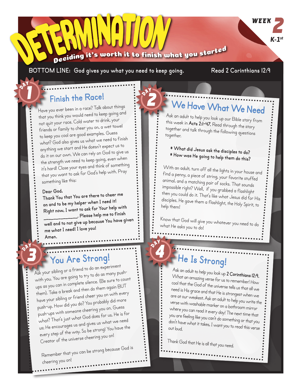

BOTTOM LINE: God gives you what you need to keep going. Read 2 Corinthians 12:9

**WEEK** 

*K-1st*

### **Finish the Race!**

Have you ever been in a race? Talk about things that you think you would need to keep going an<sup>d</sup> not quit your race. Cold water to drink, your friends or family to cheer you on, a wet towel to keep you cool are good examples. Guess what? God also gives us what we need to finish anything we start and He doesn't expect us to do it on our own. We can rely on God to give us the strength we need to keep going, even when it's hard! Close your eyes and think of something that you want to ask for God's help with. Pray something like this:

#### **Dear God,**

**Thank You that You are there to cheer me on and to be my helper when I need it! Right now, I want to ask for Your help wit<sup>h</sup> \_\_\_\_\_\_\_\_\_\_\_\_\_\_. Please help me to finish well and to not give up because You have given me what I need! I love you! Amen.**

## **You Are Strong!**

Ask your sibling or a friend to do an experiment with you. You are going to try to do as many pushups as you can in complete silence. (Be sure to coun<sup>t</sup> them). Take a break and then do them again BUT have your sibling or friend cheer you on with every push-up. How did you do? You probably did more push-ups with someone cheering you on. Guess what? That's just what God does for us. He is for us; He encourages us and gives us what we nee<sup>d</sup> every step of the way. So be strong! You have the Creator of the universe cheering you on!

Remember that you can be strong because God is cheering you on!

# **We Have What We Need**

Ask an adult to help you look up our Bible story from this week in **Acts 2:1-47.** Read through the story together and talk through the following questions together.

### **\* What did Jesus ask the disciples to do? \* How was He going to help them do this?**

With an adult, turn off all the lights in your house and find a penny, a piece of string, your favorite stuffed animal, and a matching pair of socks. That sounds impossible right? Well, if you grabbed a flashlight then you could do it. That's like what Jesus did for His disciples. He gave them a flashlight, the Holy Spirit, to help them!

Know that God will give you whatever you need to do what He asks you to do!

# **He Is Strong!**

Ask an adult to help you look up **2 Corinthians 12:9.**  What an amazing verse for us to remember! How cool that the God of the universe tells us that all we need is His grace and that He is strongest when we are at our weakest. Ask an adult to help you write the verse with washable marker on a bathroom mirror where you can read it every day! The next time that you are feeling like you can't do something or that you don't have what it takes, I want you to read this verse out loud.

Thank God that He is all that you need.